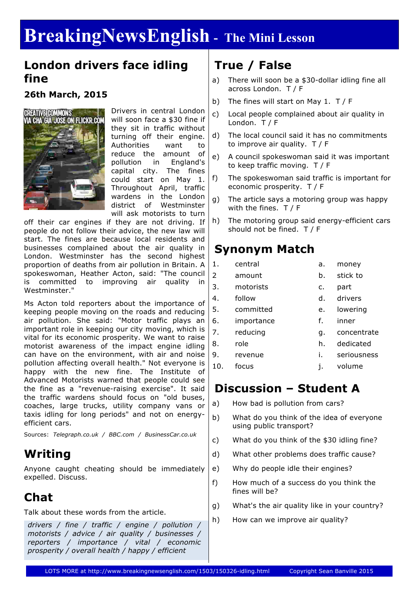# **BreakingNewsEnglish - The Mini Lesson**

#### **London drivers face idling fine**

#### **26th March, 2015**



Drivers in central London will soon face a \$30 fine if they sit in traffic without turning off their engine. Authorities want to reduce the amount of pollution in England's capital city. The fines could start on May 1. Throughout April, traffic wardens in the London district of Westminster will ask motorists to turn

off their car engines if they are not driving. If people do not follow their advice, the new law will start. The fines are because local residents and businesses complained about the air quality in London. Westminster has the second highest proportion of deaths from air pollution in Britain. A spokeswoman, Heather Acton, said: "The council is committed to improving air quality in Westminster."

Ms Acton told reporters about the importance of keeping people moving on the roads and reducing air pollution. She said: "Motor traffic plays an important role in keeping our city moving, which is vital for its economic prosperity. We want to raise motorist awareness of the impact engine idling can have on the environment, with air and noise pollution affecting overall health." Not everyone is happy with the new fine. The Institute of Advanced Motorists warned that people could see the fine as a "revenue-raising exercise". It said the traffic wardens should focus on "old buses, coaches, large trucks, utility company vans or taxis idling for long periods" and not on energyefficient cars.

Sources: *Telegraph.co.uk / BBC.com / BusinessCar.co.uk*

### **Writing**

Anyone caught cheating should be immediately expelled. Discuss.

### **Chat**

Talk about these words from the article.

*drivers / fine / traffic / engine / pollution / motorists / advice / air quality / businesses / reporters / importance / vital / economic prosperity / overall health / happy / efficient*

## **True / False**

- a) There will soon be a \$30-dollar idling fine all across London. T / F
- b) The fines will start on May 1. T / F
- c) Local people complained about air quality in London. T / F
- d) The local council said it has no commitments to improve air quality. T / F
- e) A council spokeswoman said it was important to keep traffic moving. T / F
- f) The spokeswoman said traffic is important for economic prosperity. T / F
- g) The article says a motoring group was happy with the fines. T / F
- h) The motoring group said energy-efficient cars should not be fined. T / F

### **Synonym Match**

| 1.  | central    | a. | money       |
|-----|------------|----|-------------|
| 2   | amount     | b. | stick to    |
| 3.  | motorists  | c. | part        |
| 4.  | follow     | d. | drivers     |
| 5.  | committed  | е. | lowering    |
| 6.  | importance | f. | inner       |
| 7.  | reducing   | q. | concentrate |
| 8.  | role       | h. | dedicated   |
| 9.  | revenue    | i. | seriousness |
| 10. | focus      | j. | volume      |
|     |            |    |             |

### **Discussion – Student A**

- a) How bad is pollution from cars?
- b) What do you think of the idea of everyone using public transport?
- c) What do you think of the \$30 idling fine?
- d) What other problems does traffic cause?
- e) Why do people idle their engines?
- f) How much of a success do you think the fines will be?
- g) What's the air quality like in your country?
- h) How can we improve air quality?